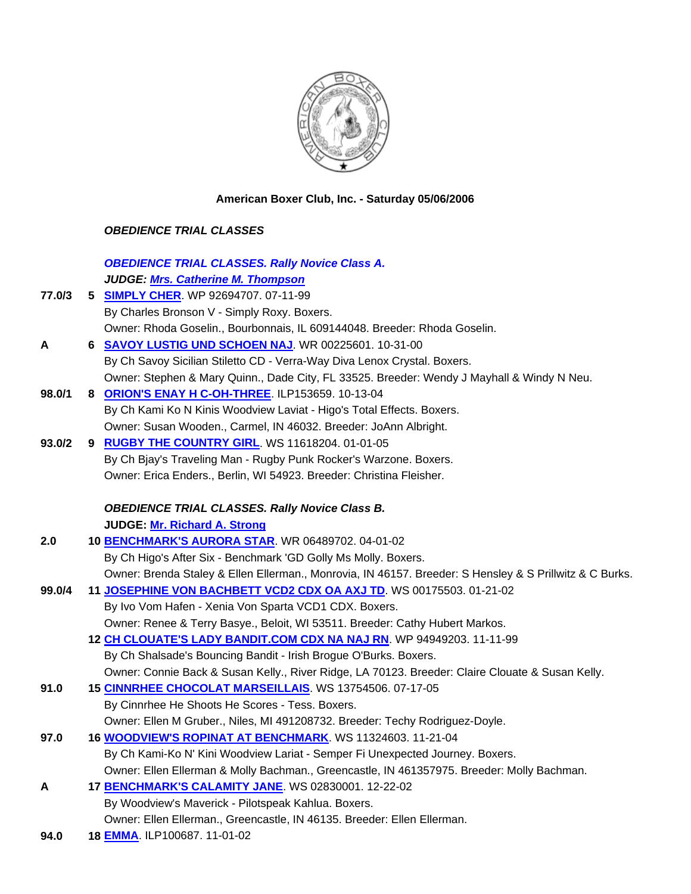

**American Boxer Club, Inc. - Saturday 05/06/2006** 

## *OBEDIENCE TRIAL CLASSES*

|        | <b>OBEDIENCE TRIAL CLASSES. Rally Novice Class A.</b>                                                   |
|--------|---------------------------------------------------------------------------------------------------------|
|        | JUDGE: Mrs. Catherine M. Thompson                                                                       |
| 77.0/3 | 5 SIMPLY CHER. WP 92694707. 07-11-99                                                                    |
|        | By Charles Bronson V - Simply Roxy. Boxers.                                                             |
|        | Owner: Rhoda Goselin., Bourbonnais, IL 609144048. Breeder: Rhoda Goselin.                               |
| A      | 6 SAVOY LUSTIG UND SCHOEN NAJ. WR 00225601. 10-31-00                                                    |
|        | By Ch Savoy Sicilian Stiletto CD - Verra-Way Diva Lenox Crystal. Boxers.                                |
|        | Owner: Stephen & Mary Quinn., Dade City, FL 33525. Breeder: Wendy J Mayhall & Windy N Neu.              |
| 98.0/1 | 8 ORION'S ENAY H C-OH-THREE. ILP153659. 10-13-04                                                        |
|        | By Ch Kami Ko N Kinis Woodview Laviat - Higo's Total Effects. Boxers.                                   |
|        | Owner: Susan Wooden., Carmel, IN 46032. Breeder: JoAnn Albright.                                        |
| 93.0/2 | 9 RUGBY THE COUNTRY GIRL. WS 11618204. 01-01-05                                                         |
|        | By Ch Bjay's Traveling Man - Rugby Punk Rocker's Warzone. Boxers.                                       |
|        | Owner: Erica Enders., Berlin, WI 54923. Breeder: Christina Fleisher.                                    |
|        |                                                                                                         |
|        | <b>OBEDIENCE TRIAL CLASSES. Rally Novice Class B.</b>                                                   |
|        | <b>JUDGE: Mr. Richard A. Strong</b>                                                                     |
| 2.0    | 10 BENCHMARK'S AURORA STAR WR 06489702. 04-01-02                                                        |
|        | By Ch Higo's After Six - Benchmark 'GD Golly Ms Molly. Boxers.                                          |
|        | Owner: Brenda Staley & Ellen Ellerman., Monrovia, IN 46157. Breeder: S Hensley & S Prillwitz & C Burks. |
| 99.0/4 | 11 JOSEPHINE VON BACHBETT VCD2 CDX OA AXJ TD. WS 00175503. 01-21-02                                     |
|        | By Ivo Vom Hafen - Xenia Von Sparta VCD1 CDX. Boxers.                                                   |
|        | Owner: Renee & Terry Basye., Beloit, WI 53511. Breeder: Cathy Hubert Markos.                            |
|        | 12 CH CLOUATE'S LADY BANDIT.COM CDX NA NAJ RN. WP 94949203. 11-11-99                                    |
|        | By Ch Shalsade's Bouncing Bandit - Irish Brogue O'Burks. Boxers.                                        |
|        | Owner: Connie Back & Susan Kelly., River Ridge, LA 70123. Breeder: Claire Clouate & Susan Kelly.        |
| 91.0   | 15 CINNRHEE CHOCOLAT MARSEILLAIS. WS 13754506. 07-17-05                                                 |
|        | By Cinnrhee He Shoots He Scores - Tess. Boxers.                                                         |
|        | Owner: Ellen M Gruber., Niles, MI 491208732. Breeder: Techy Rodriguez-Doyle.                            |
| 97.0   | 16 <b>WOODVIEW'S ROPINAT AT BENCHMARK.</b> WS 11324603. 11-21-04                                        |
|        | By Ch Kami-Ko N' Kini Woodview Lariat - Semper Fi Unexpected Journey. Boxers.                           |
|        | Owner: Ellen Ellerman & Molly Bachman., Greencastle, IN 461357975. Breeder: Molly Bachman.              |
| A      | 17 BENCHMARK'S CALAMITY JANE. WS 02830001. 12-22-02                                                     |
|        | By Woodview's Maverick - Pilotspeak Kahlua. Boxers.                                                     |
|        | Owner: Ellen Ellerman., Greencastle, IN 46135. Breeder: Ellen Ellerman.                                 |
|        | 0.000001100100                                                                                          |

**94.0 18 EMMA**. ILP100687. 11-01-02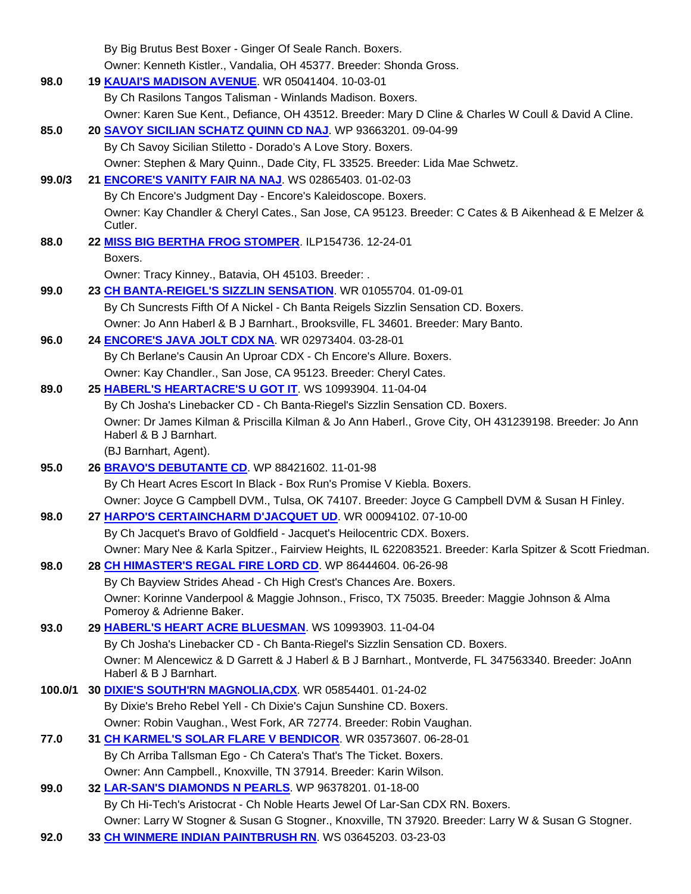|         | By Big Brutus Best Boxer - Ginger Of Seale Ranch. Boxers.                                                                       |
|---------|---------------------------------------------------------------------------------------------------------------------------------|
|         | Owner: Kenneth Kistler., Vandalia, OH 45377. Breeder: Shonda Gross.                                                             |
| 98.0    | 19 KAUAI'S MADISON AVENUE. WR 05041404. 10-03-01                                                                                |
|         | By Ch Rasilons Tangos Talisman - Winlands Madison. Boxers.                                                                      |
|         | Owner: Karen Sue Kent., Defiance, OH 43512. Breeder: Mary D Cline & Charles W Coull & David A Cline.                            |
| 85.0    | 20 SAVOY SICILIAN SCHATZ QUINN CD NAJ. WP 93663201.09-04-99                                                                     |
|         | By Ch Savoy Sicilian Stiletto - Dorado's A Love Story. Boxers.                                                                  |
|         | Owner: Stephen & Mary Quinn., Dade City, FL 33525. Breeder: Lida Mae Schwetz.                                                   |
| 99.0/3  | 21 ENCORE'S VANITY FAIR NA NAJ. WS 02865403. 01-02-03                                                                           |
|         | By Ch Encore's Judgment Day - Encore's Kaleidoscope. Boxers.                                                                    |
|         | Owner: Kay Chandler & Cheryl Cates., San Jose, CA 95123. Breeder: C Cates & B Aikenhead & E Melzer &                            |
|         | Cutler.                                                                                                                         |
| 88.0    | 22 MISS BIG BERTHA FROG STOMPER. ILP154736. 12-24-01                                                                            |
|         | Boxers.                                                                                                                         |
|         | Owner: Tracy Kinney., Batavia, OH 45103. Breeder: .                                                                             |
| 99.0    | 23 CH BANTA-REIGEL'S SIZZLIN SENSATION. WR 01055704. 01-09-01                                                                   |
|         | By Ch Suncrests Fifth Of A Nickel - Ch Banta Reigels Sizzlin Sensation CD. Boxers.                                              |
|         | Owner: Jo Ann Haberl & B J Barnhart., Brooksville, FL 34601. Breeder: Mary Banto.                                               |
| 96.0    | 24 <b>ENCORE'S JAVA JOLT CDX NA.</b> WR 02973404. 03-28-01                                                                      |
|         | By Ch Berlane's Causin An Uproar CDX - Ch Encore's Allure. Boxers.                                                              |
|         | Owner: Kay Chandler., San Jose, CA 95123. Breeder: Cheryl Cates.                                                                |
| 89.0    | 25 HABERL'S HEARTACRE'S U GOT IT. WS 10993904. 11-04-04                                                                         |
|         | By Ch Josha's Linebacker CD - Ch Banta-Riegel's Sizzlin Sensation CD. Boxers.                                                   |
|         | Owner: Dr James Kilman & Priscilla Kilman & Jo Ann Haberl., Grove City, OH 431239198. Breeder: Jo Ann<br>Haberl & B J Barnhart. |
|         | (BJ Barnhart, Agent).                                                                                                           |
| 95.0    | 26 <b>BRAVO'S DEBUTANTE CD.</b> WP 88421602. 11-01-98                                                                           |
|         | By Ch Heart Acres Escort In Black - Box Run's Promise V Kiebla. Boxers.                                                         |
|         | Owner: Joyce G Campbell DVM., Tulsa, OK 74107. Breeder: Joyce G Campbell DVM & Susan H Finley.                                  |
| 98.0    | 27 HARPO'S CERTAINCHARM D'JACQUET UD. WR 00094102. 07-10-00                                                                     |
|         | By Ch Jacquet's Bravo of Goldfield - Jacquet's Heilocentric CDX. Boxers.                                                        |
|         | Owner: Mary Nee & Karla Spitzer., Fairview Heights, IL 622083521. Breeder: Karla Spitzer & Scott Friedman.                      |
| 98.0    | 28 CH HIMASTER'S REGAL FIRE LORD CD. WP 86444604. 06-26-98                                                                      |
|         | By Ch Bayview Strides Ahead - Ch High Crest's Chances Are. Boxers.                                                              |
|         | Owner: Korinne Vanderpool & Maggie Johnson., Frisco, TX 75035. Breeder: Maggie Johnson & Alma<br>Pomeroy & Adrienne Baker.      |
| 93.0    | 29 HABERL'S HEART ACRE BLUESMAN. WS 10993903. 11-04-04                                                                          |
|         | By Ch Josha's Linebacker CD - Ch Banta-Riegel's Sizzlin Sensation CD. Boxers.                                                   |
|         | Owner: M Alencewicz & D Garrett & J Haberl & B J Barnhart., Montverde, FL 347563340. Breeder: JoAnn                             |
|         | Haberl & B J Barnhart.                                                                                                          |
| 100.0/1 | 30 DIXIE'S SOUTH'RN MAGNOLIA, CDX. WR 05854401. 01-24-02                                                                        |
|         | By Dixie's Breho Rebel Yell - Ch Dixie's Cajun Sunshine CD. Boxers.                                                             |
|         | Owner: Robin Vaughan., West Fork, AR 72774. Breeder: Robin Vaughan.                                                             |
| 77.0    | 31 CH KARMEL'S SOLAR FLARE V BENDICOR. WR 03573607. 06-28-01                                                                    |
|         | By Ch Arriba Tallsman Ego - Ch Catera's That's The Ticket. Boxers.                                                              |
|         | Owner: Ann Campbell., Knoxville, TN 37914. Breeder: Karin Wilson.                                                               |
| 99.0    | 32 LAR-SAN'S DIAMONDS N PEARLS. WP 96378201. 01-18-00                                                                           |
|         | By Ch Hi-Tech's Aristocrat - Ch Noble Hearts Jewel Of Lar-San CDX RN. Boxers.                                                   |
|         | Owner: Larry W Stogner & Susan G Stogner., Knoxville, TN 37920. Breeder: Larry W & Susan G Stogner.                             |
| 92.0    | 33 CH WINMERE INDIAN PAINTBRUSH RN. WS 03645203. 03-23-03                                                                       |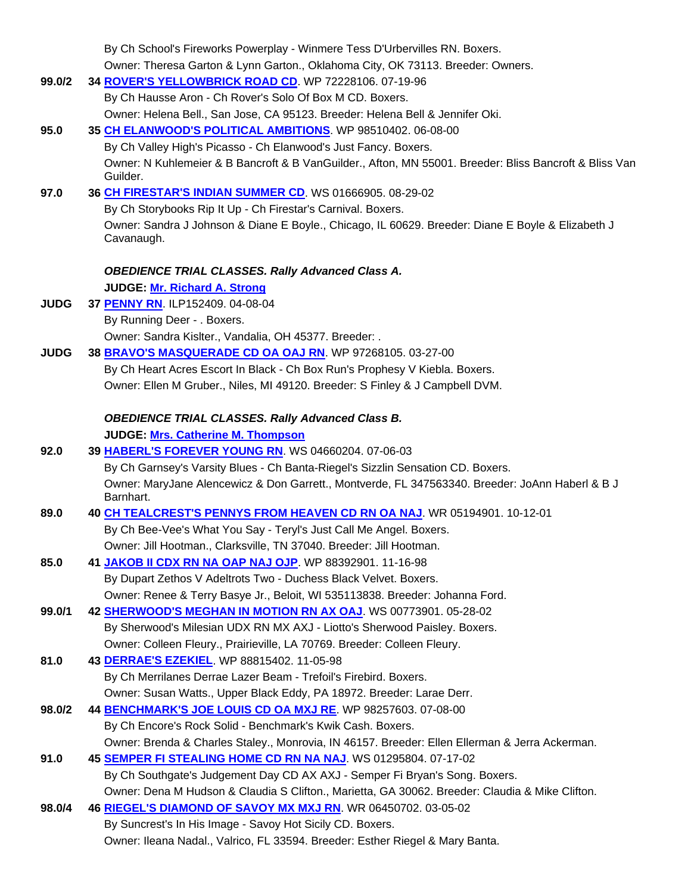|             | By Ch School's Fireworks Powerplay - Winmere Tess D'Urbervilles RN. Boxers.                                     |
|-------------|-----------------------------------------------------------------------------------------------------------------|
|             | Owner: Theresa Garton & Lynn Garton., Oklahoma City, OK 73113. Breeder: Owners.                                 |
| 99.0/2      | 34 ROVER'S YELLOWBRICK ROAD CD. WP 72228106. 07-19-96                                                           |
|             | By Ch Hausse Aron - Ch Rover's Solo Of Box M CD. Boxers.                                                        |
|             | Owner: Helena Bell., San Jose, CA 95123. Breeder: Helena Bell & Jennifer Oki.                                   |
| 95.0        | 35 CH ELANWOOD'S POLITICAL AMBITIONS. WP 98510402. 06-08-00                                                     |
|             | By Ch Valley High's Picasso - Ch Elanwood's Just Fancy. Boxers.                                                 |
|             | Owner: N Kuhlemeier & B Bancroft & B VanGuilder., Afton, MN 55001. Breeder: Bliss Bancroft & Bliss Van          |
|             | Guilder.                                                                                                        |
| 97.0        | 36 CH FIRESTAR'S INDIAN SUMMER CD. WS 01666905. 08-29-02                                                        |
|             | By Ch Storybooks Rip It Up - Ch Firestar's Carnival. Boxers.                                                    |
|             | Owner: Sandra J Johnson & Diane E Boyle., Chicago, IL 60629. Breeder: Diane E Boyle & Elizabeth J<br>Cavanaugh. |
|             |                                                                                                                 |
|             | <b>OBEDIENCE TRIAL CLASSES. Rally Advanced Class A.</b>                                                         |
|             | <b>JUDGE: Mr. Richard A. Strong</b>                                                                             |
| <b>JUDG</b> | 37 PENNY RN. ILP152409. 04-08-04                                                                                |
|             | By Running Deer - . Boxers.                                                                                     |
|             | Owner: Sandra Kislter., Vandalia, OH 45377. Breeder: .                                                          |
| <b>JUDG</b> | 38 BRAVO'S MASQUERADE CD OA OAJ RN. WP 97268105. 03-27-00                                                       |
|             | By Ch Heart Acres Escort In Black - Ch Box Run's Prophesy V Kiebla. Boxers.                                     |
|             | Owner: Ellen M Gruber., Niles, MI 49120. Breeder: S Finley & J Campbell DVM.                                    |
|             | <b>OBEDIENCE TRIAL CLASSES. Rally Advanced Class B.</b>                                                         |
|             | <b>JUDGE: Mrs. Catherine M. Thompson</b>                                                                        |
| 92.0        | 39 HABERL'S FOREVER YOUNG RN. WS 04660204. 07-06-03                                                             |
|             | By Ch Garnsey's Varsity Blues - Ch Banta-Riegel's Sizzlin Sensation CD. Boxers.                                 |
|             | Owner: MaryJane Alencewicz & Don Garrett., Montverde, FL 347563340. Breeder: JoAnn Haberl & B J                 |
|             | Barnhart.                                                                                                       |
| 89.0        | 40 CH TEALCREST'S PENNYS FROM HEAVEN CD RN OA NAJ. WR 05194901. 10-12-01                                        |
|             | By Ch Bee-Vee's What You Say - Teryl's Just Call Me Angel. Boxers.                                              |
|             | Owner: Jill Hootman., Clarksville, TN 37040. Breeder: Jill Hootman.                                             |
| 85.0        | 41 JAKOB II CDX RN NA OAP NAJ OJP. WP 88392901. 11-16-98                                                        |
|             | By Dupart Zethos V Adeltrots Two - Duchess Black Velvet. Boxers.                                                |
|             | Owner: Renee & Terry Basye Jr., Beloit, WI 535113838. Breeder: Johanna Ford.                                    |
| 99.0/1      | 42 SHERWOOD'S MEGHAN IN MOTION RN AX OAJ. WS 00773901. 05-28-02                                                 |
|             | By Sherwood's Milesian UDX RN MX AXJ - Liotto's Sherwood Paisley. Boxers.                                       |
|             | Owner: Colleen Fleury., Prairieville, LA 70769. Breeder: Colleen Fleury.                                        |
| 81.0        | 43 DERRAE'S EZEKIEL. WP 88815402. 11-05-98                                                                      |
|             | By Ch Merrilanes Derrae Lazer Beam - Trefoil's Firebird. Boxers.                                                |
|             | Owner: Susan Watts., Upper Black Eddy, PA 18972. Breeder: Larae Derr.                                           |
| 98.0/2      | 44 BENCHMARK'S JOE LOUIS CD OA MXJ RE. WP 98257603. 07-08-00                                                    |
|             | By Ch Encore's Rock Solid - Benchmark's Kwik Cash. Boxers.                                                      |
|             | Owner: Brenda & Charles Staley., Monrovia, IN 46157. Breeder: Ellen Ellerman & Jerra Ackerman.                  |
| 91.0        | 45 SEMPER FI STEALING HOME CD RN NA NAJ. WS 01295804. 07-17-02                                                  |
|             | By Ch Southgate's Judgement Day CD AX AXJ - Semper Fi Bryan's Song. Boxers.                                     |
|             | Owner: Dena M Hudson & Claudia S Clifton., Marietta, GA 30062. Breeder: Claudia & Mike Clifton.                 |
| 98.0/4      | 46 RIEGEL'S DIAMOND OF SAVOY MX MXJ RN. WR 06450702. 03-05-02                                                   |
|             | By Suncrest's In His Image - Savoy Hot Sicily CD. Boxers.                                                       |
|             | Owner: Ileana Nadal., Valrico, FL 33594. Breeder: Esther Riegel & Mary Banta.                                   |